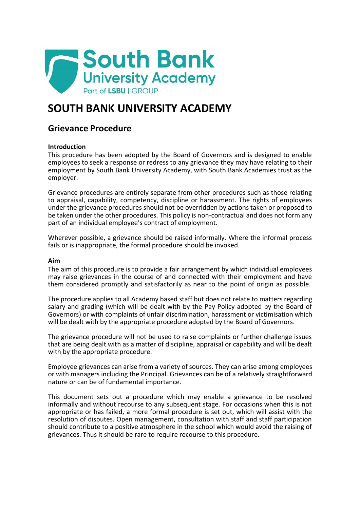

# **SOUTH BANK UNIVERSITY ACADEMY**

# **Grievance Procedure**

# **Introduction**

This procedure has been adopted by the Board of Governors and is designed to enable employees to seek a response or redress to any grievance they may have relating to their employment by South Bank University Academy, with South Bank Academies trust as the employer.

Grievance procedures are entirely separate from other procedures such as those relating to appraisal, capability, competency, discipline or harassment. The rights of employees under the grievance procedures should not be overridden by actions taken or proposed to be taken under the other procedures. This policy is non-contractual and does not form any part of an individual employee's contract of employment.

Wherever possible, a grievance should be raised informally. Where the informal process fails or is inappropriate, the formal procedure should be invoked.

#### **Aim**

The aim of this procedure is to provide a fair arrangement by which individual employees may raise grievances in the course of and connected with their employment and have them considered promptly and satisfactorily as near to the point of origin as possible.

The procedure applies to all Academy based staff but does not relate to matters regarding salary and grading (which will be dealt with by the Pay Policy adopted by the Board of Governors) or with complaints of unfair discrimination, harassment or victimisation which will be dealt with by the appropriate procedure adopted by the Board of Governors.

The grievance procedure will not be used to raise complaints or further challenge issues that are being dealt with as a matter of discipline, appraisal or capability and will be dealt with by the appropriate procedure.

Employee grievances can arise from a variety of sources. They can arise among employees or with managers including the Principal. Grievances can be of a relatively straightforward nature or can be of fundamental importance.

This document sets out a procedure which may enable a grievance to be resolved informally and without recourse to any subsequent stage. For occasions when this is not appropriate or has failed, a more formal procedure is set out, which will assist with the resolution of disputes. Open management, consultation with staff and staff participation should contribute to a positive atmosphere in the school which would avoid the raising of grievances. Thus it should be rare to require recourse to this procedure.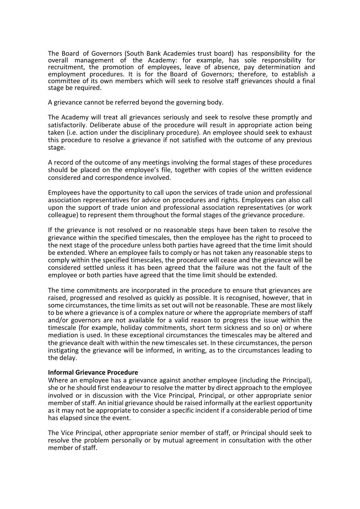The Board of Governors (South Bank Academies trust board) has responsibility for the overall management of the Academy: for example, has sole responsibility for recruitment, the promotion of employees, leave of absence, pay determination and employment procedures. It is for the Board of Governors; therefore, to establish a committee of its own members which will seek to resolve staff grievances should a final stage be required.

A grievance cannot be referred beyond the governing body.

The Academy will treat all grievances seriously and seek to resolve these promptly and satisfactorily. Deliberate abuse of the procedure will result in appropriate action being taken (i.e. action under the disciplinary procedure). An employee should seek to exhaust this procedure to resolve a grievance if not satisfied with the outcome of any previous stage.

A record of the outcome of any meetings involving the formal stages of these procedures should be placed on the employee's file, together with copies of the written evidence considered and correspondence involved.

Employees have the opportunity to call upon the services of trade union and professional association representatives for advice on procedures and rights. Employees can also call upon the support of trade union and professional association representatives (or work colleague) to represent them throughout the formal stages of the grievance procedure.

If the grievance is not resolved or no reasonable steps have been taken to resolve the grievance within the specified timescales, then the employee has the right to proceed to the next stage of the procedure unless both parties have agreed that the time limit should be extended. Where an employee fails to comply or has not taken any reasonable steps to comply within the specified timescales, the procedure will cease and the grievance will be considered settled unless it has been agreed that the failure was not the fault of the employee or both parties have agreed that the time limit should be extended.

The time commitments are incorporated in the procedure to ensure that grievances are raised, progressed and resolved as quickly as possible. It is recognised, however, that in some circumstances, the time limits as set out will not be reasonable. These are most likely to be where a grievance is of a complex nature or where the appropriate members of staff and/or governors are not available for a valid reason to progress the issue within the timescale (for example, holiday commitments, short term sickness and so on) or where mediation is used. In these exceptional circumstances the timescales may be altered and the grievance dealt with within the new timescales set. In these circumstances, the person instigating the grievance will be informed, in writing, as to the circumstances leading to the delay.

#### **Informal Grievance Procedure**

Where an employee has a grievance against another employee (including the Principal), she or he should first endeavour to resolve the matter by direct approach to the employee involved or in discussion with the Vice Principal, Principal, or other appropriate senior member of staff. An initial grievance should be raised informally at the earliest opportunity as it may not be appropriate to consider a specific incident if a considerable period of time has elapsed since the event.

The Vice Principal, other appropriate senior member of staff, or Principal should seek to resolve the problem personally or by mutual agreement in consultation with the other member of staff.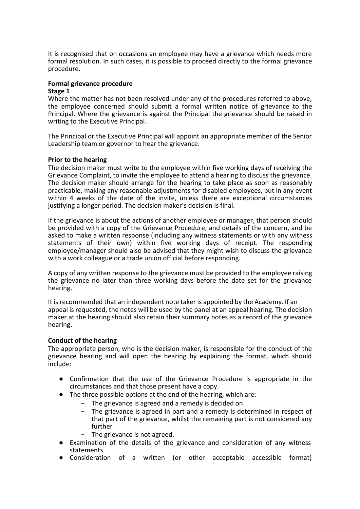It is recognised that on occasions an employee may have a grievance which needs more formal resolution. In such cases, it is possible to proceed directly to the formal grievance procedure.

# **Formal grievance procedure**

#### **Stage 1**

Where the matter has not been resolved under any of the procedures referred to above, the employee concerned should submit a formal written notice of grievance to the Principal. Where the grievance is against the Principal the grievance should be raised in writing to the Executive Principal.

The Principal or the Executive Principal will appoint an appropriate member of the Senior Leadership team or governor to hear the grievance.

# **Prior to the hearing**

The decision maker must write to the employee within five working days of receiving the Grievance Complaint, to invite the employee to attend a hearing to discuss the grievance. The decision maker should arrange for the hearing to take place as soon as reasonably practicable, making any reasonable adjustments for disabled employees, but in any event within 4 weeks of the date of the invite, unless there are exceptional circumstances justifying a longer period. The decision maker's decision is final.

If the grievance is about the actions of another employee or manager, that person should be provided with a copy of the Grievance Procedure, and details of the concern, and be asked to make a written response (including any witness statements or with any witness statements of their own) within five working days of receipt. The responding employee/manager should also be advised that they might wish to discuss the grievance with a work colleague or a trade union official before responding.

A copy of any written response to the grievance must be provided to the employee raising the grievance no later than three working days before the date set for the grievance hearing.

It is recommended that an independent note taker is appointed by the Academy. If an appeal is requested, the notes will be used by the panel at an appeal hearing. The decision maker at the hearing should also retain their summary notes as a record of the grievance hearing.

# **Conduct of the hearing**

The appropriate person, who is the decision maker, is responsible for the conduct of the grievance hearing and will open the hearing by explaining the format, which should include:

- Confirmation that the use of the Grievance Procedure is appropriate in the circumstances and that those present have a copy.
- The three possible options at the end of the hearing, which are:
	- The grievance is agreed and a remedy is decided on
	- The grievance is agreed in part and a remedy is determined in respect of that part of the grievance, whilst the remaining part is not considered any further
	- The grievance is not agreed.
- Examination of the details of the grievance and consideration of any witness statements
- Consideration of a written (or other acceptable accessible format)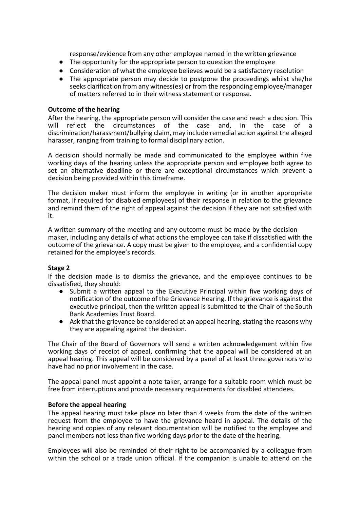response/evidence from any other employee named in the written grievance

- The opportunity for the appropriate person to question the employee
- Consideration of what the employee believes would be a satisfactory resolution
- The appropriate person may decide to postpone the proceedings whilst she/he seeks clarification from any witness(es) or from the responding employee/manager of matters referred to in their witness statement or response.

#### **Outcome of the hearing**

After the hearing, the appropriate person will consider the case and reach a decision. This will reflect the circumstances of the case and in the case of a reflect the circumstances of the case and, in the case of a discrimination/harassment/bullying claim, may include remedial action against the alleged harasser, ranging from training to formal disciplinary action.

A decision should normally be made and communicated to the employee within five working days of the hearing unless the appropriate person and employee both agree to set an alternative deadline or there are exceptional circumstances which prevent a decision being provided within this timeframe.

The decision maker must inform the employee in writing (or in another appropriate format, if required for disabled employees) of their response in relation to the grievance and remind them of the right of appeal against the decision if they are not satisfied with it.

A written summary of the meeting and any outcome must be made by the decision maker, including any details of what actions the employee can take if dissatisfied with the outcome of the grievance. A copy must be given to the employee, and a confidential copy retained for the employee's records.

# **Stage 2**

If the decision made is to dismiss the grievance, and the employee continues to be dissatisfied, they should:

- Submit a written appeal to the Executive Principal within five working days of notification of the outcome of the Grievance Hearing. If the grievance is against the executive principal, then the written appeal is submitted to the Chair of the South Bank Academies Trust Board.
- Ask that the grievance be considered at an appeal hearing, stating the reasons why they are appealing against the decision.

The Chair of the Board of Governors will send a written acknowledgement within five working days of receipt of appeal, confirming that the appeal will be considered at an appeal hearing. This appeal will be considered by a panel of at least three governors who have had no prior involvement in the case.

The appeal panel must appoint a note taker, arrange for a suitable room which must be free from interruptions and provide necessary requirements for disabled attendees.

#### **Before the appeal hearing**

The appeal hearing must take place no later than 4 weeks from the date of the written request from the employee to have the grievance heard in appeal. The details of the hearing and copies of any relevant documentation will be notified to the employee and panel members not less than five working days prior to the date of the hearing.

Employees will also be reminded of their right to be accompanied by a colleague from within the school or a trade union official. If the companion is unable to attend on the